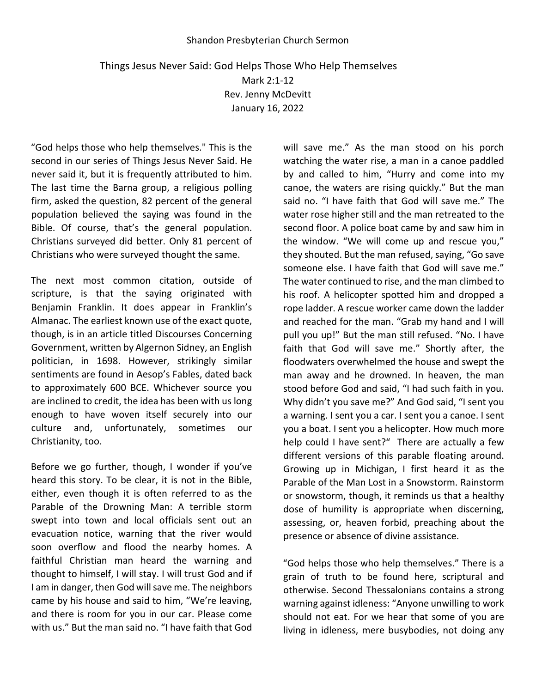## Shandon Presbyterian Church Sermon

## Things Jesus Never Said: God Helps Those Who Help Themselves Mark 2:1-12 Rev. Jenny McDevitt January 16, 2022

"God helps those who help themselves." This is the second in our series of Things Jesus Never Said. He never said it, but it is frequently attributed to him. The last time the Barna group, a religious polling firm, asked the question, 82 percent of the general population believed the saying was found in the Bible. Of course, that's the general population. Christians surveyed did better. Only 81 percent of Christians who were surveyed thought the same.

The next most common citation, outside of scripture, is that the saying originated with Benjamin Franklin. It does appear in Franklin's Almanac. The earliest known use of the exact quote, though, is in an article titled Discourses Concerning Government, written by Algernon Sidney, an English politician, in 1698. However, strikingly similar sentiments are found in Aesop's Fables, dated back to approximately 600 BCE. Whichever source you are inclined to credit, the idea has been with us long enough to have woven itself securely into our culture and, unfortunately, sometimes our Christianity, too.

Before we go further, though, I wonder if you've heard this story. To be clear, it is not in the Bible, either, even though it is often referred to as the Parable of the Drowning Man: A terrible storm swept into town and local officials sent out an evacuation notice, warning that the river would soon overflow and flood the nearby homes. A faithful Christian man heard the warning and thought to himself, I will stay. I will trust God and if I am in danger, then God will save me. The neighbors came by his house and said to him, "We're leaving, and there is room for you in our car. Please come with us." But the man said no. "I have faith that God

will save me." As the man stood on his porch watching the water rise, a man in a canoe paddled by and called to him, "Hurry and come into my canoe, the waters are rising quickly." But the man said no. "I have faith that God will save me." The water rose higher still and the man retreated to the second floor. A police boat came by and saw him in the window. "We will come up and rescue you," they shouted. But the man refused, saying, "Go save someone else. I have faith that God will save me." The water continued to rise, and the man climbed to his roof. A helicopter spotted him and dropped a rope ladder. A rescue worker came down the ladder and reached for the man. "Grab my hand and I will pull you up!" But the man still refused. "No. I have faith that God will save me." Shortly after, the floodwaters overwhelmed the house and swept the man away and he drowned. In heaven, the man stood before God and said, "I had such faith in you. Why didn't you save me?" And God said, "I sent you a warning. I sent you a car. I sent you a canoe. I sent you a boat. I sent you a helicopter. How much more help could I have sent?" There are actually a few different versions of this parable floating around. Growing up in Michigan, I first heard it as the Parable of the Man Lost in a Snowstorm. Rainstorm or snowstorm, though, it reminds us that a healthy dose of humility is appropriate when discerning, assessing, or, heaven forbid, preaching about the presence or absence of divine assistance.

"God helps those who help themselves." There is a grain of truth to be found here, scriptural and otherwise. Second Thessalonians contains a strong warning against idleness: "Anyone unwilling to work should not eat. For we hear that some of you are living in idleness, mere busybodies, not doing any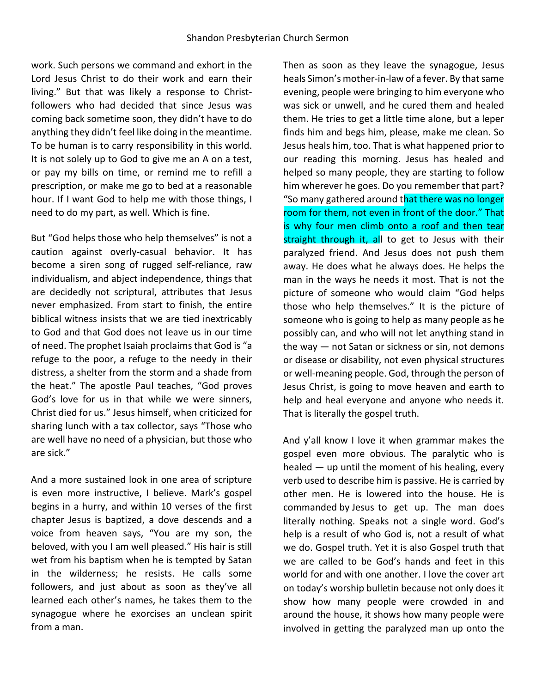work. Such persons we command and exhort in the Lord Jesus Christ to do their work and earn their living." But that was likely a response to Christfollowers who had decided that since Jesus was coming back sometime soon, they didn't have to do anything they didn't feel like doing in the meantime. To be human is to carry responsibility in this world. It is not solely up to God to give me an A on a test, or pay my bills on time, or remind me to refill a prescription, or make me go to bed at a reasonable hour. If I want God to help me with those things, I need to do my part, as well. Which is fine.

But "God helps those who help themselves" is not a caution against overly-casual behavior. It has become a siren song of rugged self-reliance, raw individualism, and abject independence, things that are decidedly not scriptural, attributes that Jesus never emphasized. From start to finish, the entire biblical witness insists that we are tied inextricably to God and that God does not leave us in our time of need. The prophet Isaiah proclaims that God is "a refuge to the poor, a refuge to the needy in their distress, a shelter from the storm and a shade from the heat." The apostle Paul teaches, "God proves God's love for us in that while we were sinners, Christ died for us." Jesus himself, when criticized for sharing lunch with a tax collector, says "Those who are well have no need of a physician, but those who are sick."

And a more sustained look in one area of scripture is even more instructive, I believe. Mark's gospel begins in a hurry, and within 10 verses of the first chapter Jesus is baptized, a dove descends and a voice from heaven says, "You are my son, the beloved, with you I am well pleased." His hair is still wet from his baptism when he is tempted by Satan in the wilderness; he resists. He calls some followers, and just about as soon as they've all learned each other's names, he takes them to the synagogue where he exorcises an unclean spirit from a man.

Then as soon as they leave the synagogue, Jesus heals Simon's mother-in-law of a fever. By that same evening, people were bringing to him everyone who was sick or unwell, and he cured them and healed them. He tries to get a little time alone, but a leper finds him and begs him, please, make me clean. So Jesus heals him, too. That is what happened prior to our reading this morning. Jesus has healed and helped so many people, they are starting to follow him wherever he goes. Do you remember that part? "So many gathered around that there was no longer room for them, not even in front of the door." That is why four men climb onto a roof and then tear straight through it, all to get to Jesus with their paralyzed friend. And Jesus does not push them away. He does what he always does. He helps the man in the ways he needs it most. That is not the picture of someone who would claim "God helps those who help themselves." It is the picture of someone who is going to help as many people as he possibly can, and who will not let anything stand in the way — not Satan or sickness or sin, not demons or disease or disability, not even physical structures or well-meaning people. God, through the person of Jesus Christ, is going to move heaven and earth to help and heal everyone and anyone who needs it. That is literally the gospel truth.

And y'all know I love it when grammar makes the gospel even more obvious. The paralytic who is healed — up until the moment of his healing, every verb used to describe him is passive. He is carried by other men. He is lowered into the house. He is commanded by Jesus to get up. The man does literally nothing. Speaks not a single word. God's help is a result of who God is, not a result of what we do. Gospel truth. Yet it is also Gospel truth that we are called to be God's hands and feet in this world for and with one another. I love the cover art on today's worship bulletin because not only does it show how many people were crowded in and around the house, it shows how many people were involved in getting the paralyzed man up onto the